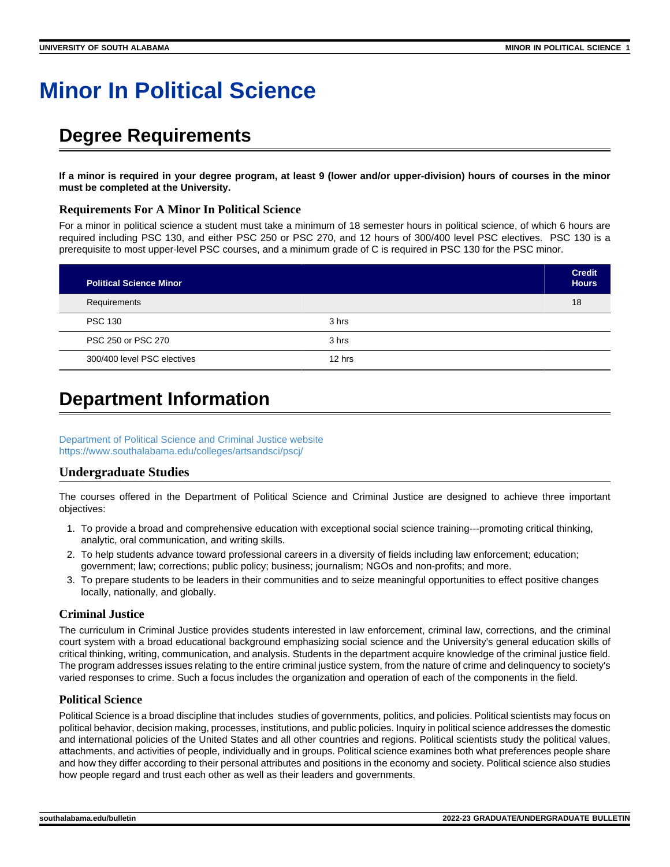# **Minor In Political Science**

## **Degree Requirements**

**If a minor is required in your degree program, at least 9 (lower and/or upper-division) hours of courses in the minor must be completed at the University.**

#### **Requirements For A Minor In Political Science**

For a minor in political science a student must take a minimum of 18 semester hours in political science, of which 6 hours are required including PSC 130, and either PSC 250 or PSC 270, and 12 hours of 300/400 level PSC electives. PSC 130 is a prerequisite to most upper-level PSC courses, and a minimum grade of C is required in PSC 130 for the PSC minor.

| <b>Political Science Minor</b> |        | <b>Credit</b><br><b>Hours</b> |
|--------------------------------|--------|-------------------------------|
| Requirements                   |        | 18                            |
| <b>PSC 130</b>                 | 3 hrs  |                               |
| PSC 250 or PSC 270             | 3 hrs  |                               |
| 300/400 level PSC electives    | 12 hrs |                               |

### **Department Information**

[Department of Political Science and Criminal Justice website](https://www.southalabama.edu/poliscie/) <https://www.southalabama.edu/colleges/artsandsci/pscj/>

#### **Undergraduate Studies**

The courses offered in the Department of Political Science and Criminal Justice are designed to achieve three important objectives:

- 1. To provide a broad and comprehensive education with exceptional social science training---promoting critical thinking, analytic, oral communication, and writing skills.
- 2. To help students advance toward professional careers in a diversity of fields including law enforcement; education; government; law; corrections; public policy; business; journalism; NGOs and non-profits; and more.
- 3. To prepare students to be leaders in their communities and to seize meaningful opportunities to effect positive changes locally, nationally, and globally.

#### **Criminal Justice**

The curriculum in Criminal Justice provides students interested in law enforcement, criminal law, corrections, and the criminal court system with a broad educational background emphasizing social science and the University's general education skills of critical thinking, writing, communication, and analysis. Students in the department acquire knowledge of the criminal justice field. The program addresses issues relating to the entire criminal justice system, from the nature of crime and delinquency to society's varied responses to crime. Such a focus includes the organization and operation of each of the components in the field.

#### **Political Science**

Political Science is a broad discipline that includes studies of governments, politics, and policies. Political scientists may focus on political behavior, decision making, processes, institutions, and public policies. Inquiry in political science addresses the domestic and international policies of the United States and all other countries and regions. Political scientists study the political values, attachments, and activities of people, individually and in groups. Political science examines both what preferences people share and how they differ according to their personal attributes and positions in the economy and society. Political science also studies how people regard and trust each other as well as their leaders and governments.